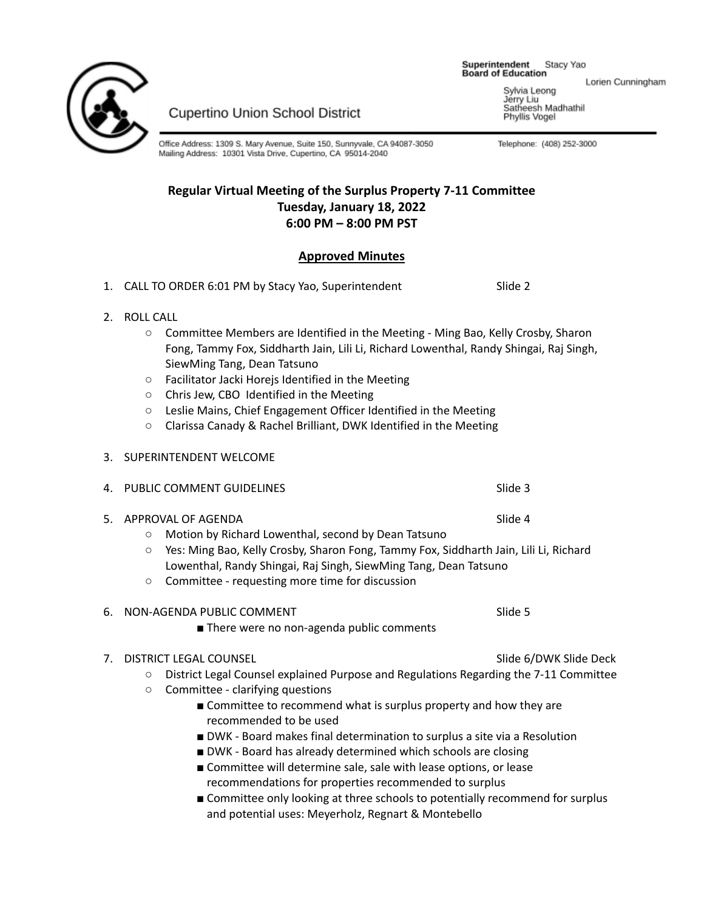Superintendent Stacy Yao **Board of Education** 

Lorien Cunningham

Sylvia Leong Jérry Liu Serry Erd<br>Satheesh Madhathil<br>Phyllis Vogel

Telephone: (408) 252-3000



**Cupertino Union School District** 

Office Address: 1309 S. Mary Avenue, Suite 150, Sunnyvale, CA 94087-3050 Mailing Address: 10301 Vista Drive, Cupertino, CA 95014-2040

## **Regular Virtual Meeting of the Surplus Property 7-11 Committee Tuesday, January 18, 2022 6:00 PM – 8:00 PM PST**

# **Approved Minutes**

- 1. CALL TO ORDER 6:01 PM by Stacy Yao, Superintendent Slide 2
- 2. ROLL CALL
	- Committee Members are Identified in the Meeting Ming Bao, Kelly Crosby, Sharon Fong, Tammy Fox, Siddharth Jain, Lili Li, Richard Lowenthal, Randy Shingai, Raj Singh, SiewMing Tang, Dean Tatsuno
	- Facilitator Jacki Horejs Identified in the Meeting
	- Chris Jew, CBO Identified in the Meeting
	- Leslie Mains, Chief Engagement Officer Identified in the Meeting
	- Clarissa Canady & Rachel Brilliant, DWK Identified in the Meeting
- 3. SUPERINTENDENT WELCOME
- 4. PUBLIC COMMENT GUIDELINES SUN SUN SUIDED AND SUIDED AT A SUIDED AND SUIDED AT A SUIDED AT A SUIDED AND SUID
- 5. APPROVAL OF AGENDA SOLUTION AND SLIDE 4
	- Motion by Richard Lowenthal, second by Dean Tatsuno
	- Yes: Ming Bao, Kelly Crosby, Sharon Fong, Tammy Fox, Siddharth Jain, Lili Li, Richard Lowenthal, Randy Shingai, Raj Singh, SiewMing Tang, Dean Tatsuno
	- Committee requesting more time for discussion

## 6. NON-AGENDA PUBLIC COMMENT SALL SALL SOM SIDE 5

■ There were no non-agenda public comments

### 7. DISTRICT LEGAL COUNSEL **Suite Account of the State State State State Slide S** Slide Of DWK Slide Deck

- District Legal Counsel explained Purpose and Regulations Regarding the 7-11 Committee
- Committee clarifying questions
	- Committee to recommend what is surplus property and how they are recommended to be used
	- DWK Board makes final determination to surplus a site via a Resolution
	- DWK Board has already determined which schools are closing
	- Committee will determine sale, sale with lease options, or lease recommendations for properties recommended to surplus
	- Committee only looking at three schools to potentially recommend for surplus and potential uses: Meyerholz, Regnart & Montebello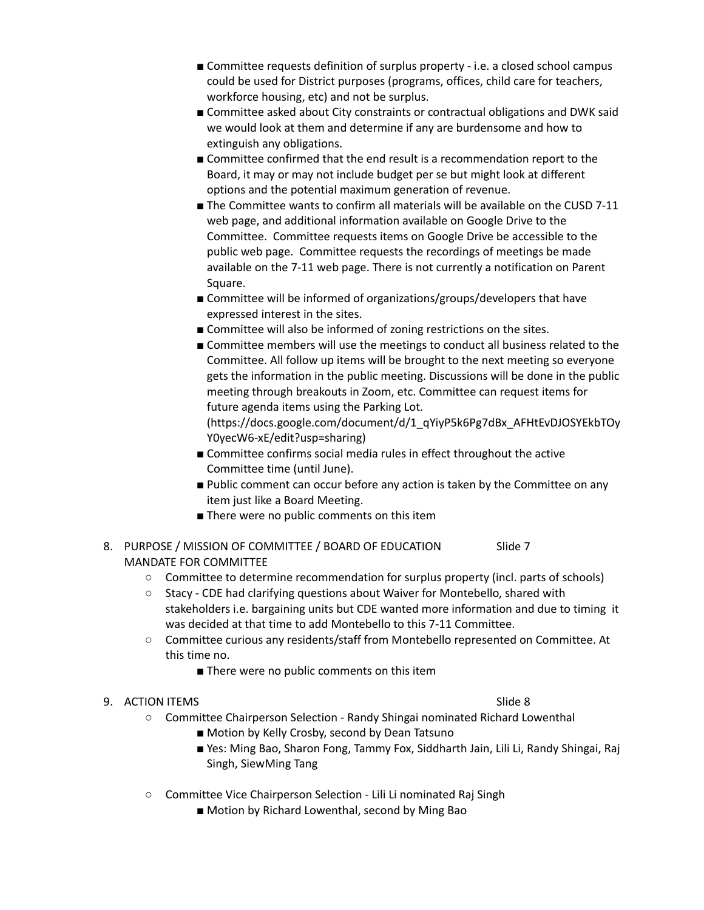- Committee requests definition of surplus property i.e. a closed school campus could be used for District purposes (programs, offices, child care for teachers, workforce housing, etc) and not be surplus.
- Committee asked about City constraints or contractual obligations and DWK said we would look at them and determine if any are burdensome and how to extinguish any obligations.
- Committee confirmed that the end result is a recommendation report to the Board, it may or may not include budget per se but might look at different options and the potential maximum generation of revenue.
- The Committee wants to confirm all materials will be available on the CUSD 7-11 web page, and additional information available on Google Drive to the Committee. Committee requests items on Google Drive be accessible to the public web page. Committee requests the recordings of meetings be made available on the 7-11 web page. There is not currently a notification on Parent Square.
- Committee will be informed of organizations/groups/developers that have expressed interest in the sites.
- Committee will also be informed of zoning restrictions on the sites.
- Committee members will use the meetings to conduct all business related to the Committee. All follow up items will be brought to the next meeting so everyone gets the information in the public meeting. Discussions will be done in the public meeting through breakouts in Zoom, etc. Committee can request items for future agenda items using the Parking Lot.

(https://docs.google.com/document/d/1\_qYiyP5k6Pg7dBx\_AFHtEvDJOSYEkbTOy Y0yecW6-xE/edit?usp=sharing)

- Committee confirms social media rules in effect throughout the active Committee time (until June).
- Public comment can occur before any action is taken by the Committee on any item just like a Board Meeting.
- There were no public comments on this item
- 8. PURPOSE / MISSION OF COMMITTEE / BOARD OF EDUCATION Slide 7 MANDATE FOR COMMITTEE
	- Committee to determine recommendation for surplus property (incl. parts of schools)
	- Stacy CDE had clarifying questions about Waiver for Montebello, shared with stakeholders i.e. bargaining units but CDE wanted more information and due to timing it was decided at that time to add Montebello to this 7-11 Committee.
	- Committee curious any residents/staff from Montebello represented on Committee. At this time no.
		- There were no public comments on this item

## 9. ACTION ITEMS Slide 8

- Committee Chairperson Selection Randy Shingai nominated Richard Lowenthal
	- Motion by Kelly Crosby, second by Dean Tatsuno
	- Yes: Ming Bao, Sharon Fong, Tammy Fox, Siddharth Jain, Lili Li, Randy Shingai, Raj Singh, SiewMing Tang
- Committee Vice Chairperson Selection Lili Li nominated Raj Singh
	- Motion by Richard Lowenthal, second by Ming Bao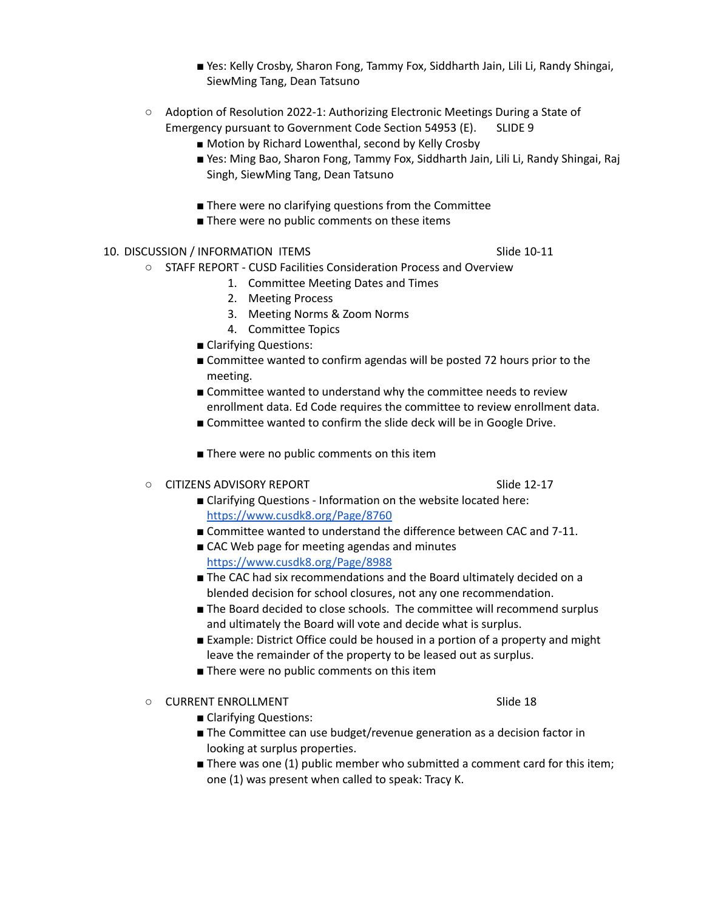- Yes: Kelly Crosby, Sharon Fong, Tammy Fox, Siddharth Jain, Lili Li, Randy Shingai, SiewMing Tang, Dean Tatsuno
- Adoption of Resolution 2022-1: Authorizing Electronic Meetings During a State of Emergency pursuant to Government Code Section 54953 (E). SLIDE 9
	- Motion by Richard Lowenthal, second by Kelly Crosby
	- Yes: Ming Bao, Sharon Fong, Tammy Fox, Siddharth Jain, Lili Li, Randy Shingai, Raj Singh, SiewMing Tang, Dean Tatsuno
	- There were no clarifying questions from the Committee
	- There were no public comments on these items
- 10. DISCUSSION / INFORMATION ITEMS SIDE 10-11
	- STAFF REPORT CUSD Facilities Consideration Process and Overview
		- 1. Committee Meeting Dates and Times
		- 2. Meeting Process
		- 3. Meeting Norms & Zoom Norms
		- 4. Committee Topics
		- Clarifying Questions:
		- Committee wanted to confirm agendas will be posted 72 hours prior to the meeting.
		- Committee wanted to understand why the committee needs to review enrollment data. Ed Code requires the committee to review enrollment data.
		- Committee wanted to confirm the slide deck will be in Google Drive.
		- There were no public comments on this item
	- $\circ$  CITIZENS ADVISORY REPORT SLIDE 12-17
		- Clarifying Questions Information on the website located here: <https://www.cusdk8.org/Page/8760>
		- Committee wanted to understand the difference between CAC and 7-11.
		- CAC Web page for meeting agendas and minutes <https://www.cusdk8.org/Page/8988>
		- The CAC had six recommendations and the Board ultimately decided on a blended decision for school closures, not any one recommendation.
		- The Board decided to close schools. The committee will recommend surplus and ultimately the Board will vote and decide what is surplus.
		- Example: District Office could be housed in a portion of a property and might leave the remainder of the property to be leased out as surplus.
		- There were no public comments on this item

○ CURRENT ENROLLMENT NEWSTADE Slide 18

- Clarifying Questions:
- The Committee can use budget/revenue generation as a decision factor in looking at surplus properties.
- There was one (1) public member who submitted a comment card for this item; one (1) was present when called to speak: Tracy K.